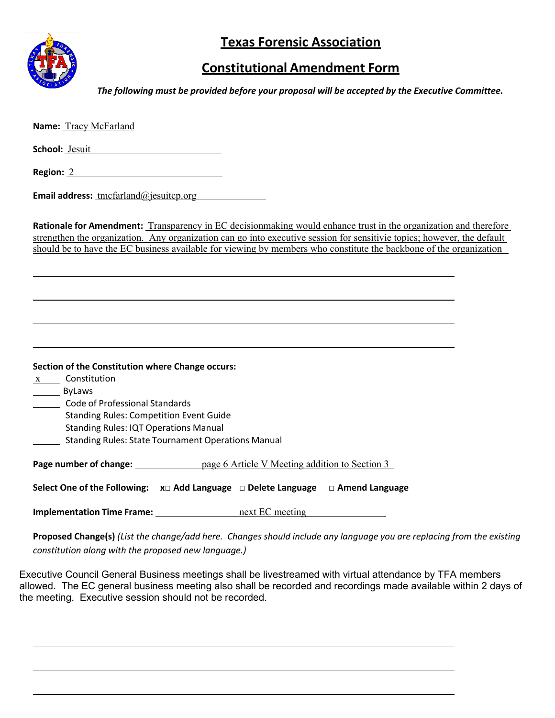

## **Texas Forensic Association**

## **Constitutional Amendment Form**

*The following must be provided before your proposal will be accepted by the Executive Committee.*

| Name: Tracy McFarland                                                                                                                                                                                                                                                                                                                                             |
|-------------------------------------------------------------------------------------------------------------------------------------------------------------------------------------------------------------------------------------------------------------------------------------------------------------------------------------------------------------------|
| School: Jesuit                                                                                                                                                                                                                                                                                                                                                    |
| <b>Region: 2</b> 2                                                                                                                                                                                                                                                                                                                                                |
| <b>Email address:</b> tmcfarland@jesuitcp.org                                                                                                                                                                                                                                                                                                                     |
| Rationale for Amendment: Transparency in EC decisionmaking would enhance trust in the organization and therefore<br>strengthen the organization. Any organization can go into executive session for sensitivie topics; however, the default<br>should be to have the EC business available for viewing by members who constitute the backbone of the organization |
|                                                                                                                                                                                                                                                                                                                                                                   |
| Section of the Constitution where Change occurs:<br>$x$ Constitution                                                                                                                                                                                                                                                                                              |
| ByLaws<br>Code of Professional Standards                                                                                                                                                                                                                                                                                                                          |
| _______ Standing Rules: Competition Event Guide<br>Standing Rules: IQT Operations Manual<br><b>Standing Rules: State Tournament Operations Manual</b>                                                                                                                                                                                                             |
|                                                                                                                                                                                                                                                                                                                                                                   |
| Select One of the Following: $x \Box$ Add Language $\Box$ Delete Language $\Box$ Amend Language                                                                                                                                                                                                                                                                   |
| <b>Implementation Time Frame:</b> next EC meeting                                                                                                                                                                                                                                                                                                                 |
| Proposed Change(s) (List the change/add here. Changes should include any language you are replacing from the existing<br>constitution along with the proposed new language.)                                                                                                                                                                                      |

Executive Council General Business meetings shall be livestreamed with virtual attendance by TFA members allowed. The EC general business meeting also shall be recorded and recordings made available within 2 days of the meeting. Executive session should not be recorded.